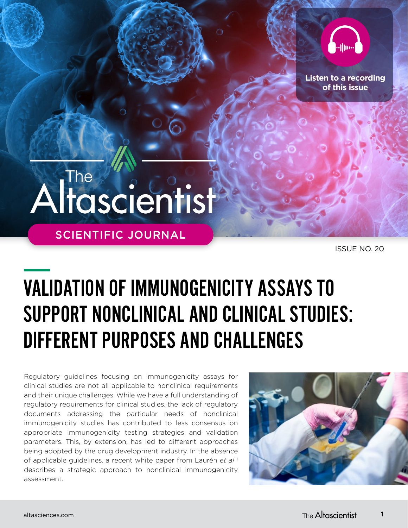

**[Listen to a recording](https://soundcloud.com/user-255891856/the-altascientist-issue-20-validation-of-immunogenicity-assays?utm_source=clipboard&utm_medium=text&utm_campaign=social_sharing)  of this issue**

# Altascientist

**SCIENTIFIC JOURNAL** 

ISSUE NO. 20

## VALIDATION OF IMMUNOGENICITY ASSAYS TO SUPPORT NONCLINICAL AND CLINICAL STUDIES: DIFFERENT PURPOSES AND CHALLENGES

Regulatory guidelines focusing on immunogenicity assays for clinical studies are not all applicable to nonclinical requirements and their unique challenges. While we have a full understanding of regulatory requirements for clinical studies, the lack of regulatory documents addressing the particular needs of nonclinical immunogenicity studies has contributed to less consensus on appropriate immunogenicity testing strategies and validation parameters. This, by extension, has led to different approaches being adopted by the drug development industry. In the absence of applicable guidelines, a recent white paper from Laurén *et al* <sup>1</sup> describes a strategic approach to nonclinical immunogenicity assessment.



**1**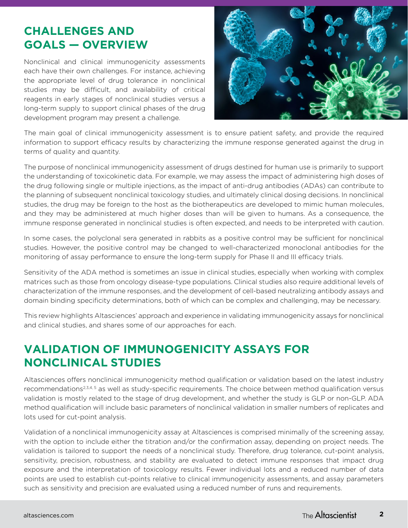## **CHALLENGES AND GOALS — OVERVIEW**

Nonclinical and clinical immunogenicity assessments each have their own challenges. For instance, achieving the appropriate level of drug tolerance in nonclinical studies may be difficult, and availability of critical reagents in early stages of nonclinical studies versus a long-term supply to support clinical phases of the drug development program may present a challenge.



The main goal of clinical immunogenicity assessment is to ensure patient safety, and provide the required information to support efficacy results by characterizing the immune response generated against the drug in terms of quality and quantity.

The purpose of nonclinical immunogenicity assessment of drugs destined for human use is primarily to support the understanding of toxicokinetic data. For example, we may assess the impact of administering high doses of the drug following single or multiple injections, as the impact of anti-drug antibodies (ADAs) can contribute to the planning of subsequent nonclinical toxicology studies, and ultimately clinical dosing decisions. In nonclinical studies, the drug may be foreign to the host as the biotherapeutics are developed to mimic human molecules, and they may be administered at much higher doses than will be given to humans. As a consequence, the immune response generated in nonclinical studies is often expected, and needs to be interpreted with caution.

In some cases, the polyclonal sera generated in rabbits as a positive control may be sufficient for nonclinical studies. However, the positive control may be changed to well-characterized monoclonal antibodies for the monitoring of assay performance to ensure the long-term supply for Phase II and III efficacy trials.

Sensitivity of the ADA method is sometimes an issue in clinical studies, especially when working with complex matrices such as those from oncology disease-type populations. Clinical studies also require additional levels of characterization of the immune responses, and the development of cell-based neutralizing antibody assays and domain binding specificity determinations, both of which can be complex and challenging, may be necessary.

This review highlights Altasciences' approach and experience in validating immunogenicity assays for nonclinical and clinical studies, and shares some of our approaches for each.

## **VALIDATION OF IMMUNOGENICITY ASSAYS FOR NONCLINICAL STUDIES**

Altasciences offers nonclinical immunogenicity method qualification or validation based on the latest industry recommendations<sup>2,3,4, 5</sup> as well as study-specific requirements. The choice between method qualification versus validation is mostly related to the stage of drug development, and whether the study is GLP or non-GLP. ADA method qualification will include basic parameters of nonclinical validation in smaller numbers of replicates and lots used for cut-point analysis.

Validation of a nonclinical immunogenicity assay at Altasciences is comprised minimally of the screening assay, with the option to include either the titration and/or the confirmation assay, depending on project needs. The validation is tailored to support the needs of a nonclinical study. Therefore, drug tolerance, cut-point analysis, sensitivity, precision, robustness, and stability are evaluated to detect immune responses that impact drug exposure and the interpretation of toxicology results. Fewer individual lots and a reduced number of data points are used to establish cut-points relative to clinical immunogenicity assessments, and assay parameters such as sensitivity and precision are evaluated using a reduced number of runs and requirements.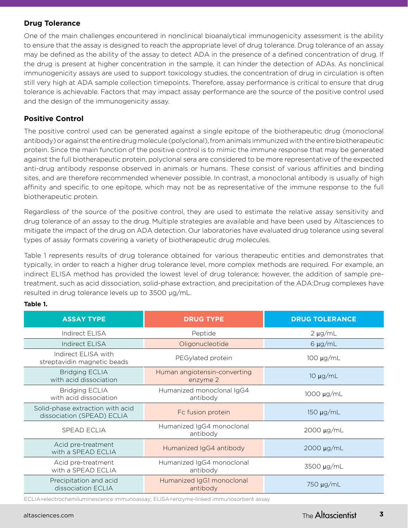## **Drug Tolerance**

One of the main challenges encountered in nonclinical bioanalytical immunogenicity assessment is the ability to ensure that the assay is designed to reach the appropriate level of drug tolerance. Drug tolerance of an assay may be defined as the ability of the assay to detect ADA in the presence of a defined concentration of drug. If the drug is present at higher concentration in the sample, it can hinder the detection of ADAs. As nonclinical immunogenicity assays are used to support toxicology studies, the concentration of drug in circulation is often still very high at ADA sample collection timepoints. Therefore, assay performance is critical to ensure that drug tolerance is achievable. Factors that may impact assay performance are the source of the positive control used and the design of the immunogenicity assay.

## **Positive Control**

The positive control used can be generated against a single epitope of the biotherapeutic drug (monoclonal antibody) or against the entire drug molecule (polyclonal), from animals immunized with the entire biotherapeutic protein. Since the main function of the positive control is to mimic the immune response that may be generated against the full biotherapeutic protein, polyclonal sera are considered to be more representative of the expected anti-drug antibody response observed in animals or humans. These consist of various affinities and binding sites, and are therefore recommended whenever possible. In contrast, a monoclonal antibody is usually of high affinity and specific to one epitope, which may not be as representative of the immune response to the full biotherapeutic protein.

Regardless of the source of the positive control, they are used to estimate the relative assay sensitivity and drug tolerance of an assay to the drug. Multiple strategies are available and have been used by Altasciences to mitigate the impact of the drug on ADA detection. Our laboratories have evaluated drug tolerance using several types of assay formats covering a variety of biotherapeutic drug molecules.

Table 1 represents results of drug tolerance obtained for various therapeutic entities and demonstrates that typically, in order to reach a higher drug tolerance level, more complex methods are required. For example, an indirect ELISA method has provided the lowest level of drug tolerance; however, the addition of sample pretreatment, such as acid dissociation, solid-phase extraction, and precipitation of the ADA:Drug complexes have resulted in drug tolerance levels up to 3500 µg/mL.

| <b>ASSAY TYPE</b>                                              | <b>DRUG TYPE</b>                                          | <b>DRUG TOLERANCE</b> |  |
|----------------------------------------------------------------|-----------------------------------------------------------|-----------------------|--|
| Indirect ELISA                                                 | Peptide                                                   | $2 \mu g/mL$          |  |
| <b>Indirect ELISA</b>                                          | Oligonucleotide                                           | $6 \mu g/mL$          |  |
| Indirect ELISA with<br>streptavidin magnetic beads             | $100 \mu g/mL$<br>PEGylated protein                       |                       |  |
| <b>Bridging ECLIA</b><br>with acid dissociation                | Human angiotensin-converting<br>$10 \mu g/mL$<br>enzyme 2 |                       |  |
| <b>Bridging ECLIA</b><br>with acid dissociation                | Humanized monoclonal IgG4<br>antibody                     | 1000 µg/mL            |  |
| Solid-phase extraction with acid<br>dissociation (SPEAD) ECLIA | Fc fusion protein                                         | $150 \mu g/mL$        |  |
| <b>SPEAD ECLIA</b>                                             | Humanized IgG4 monoclonal<br>2000 µg/mL<br>antibody       |                       |  |
| Acid pre-treatment<br>with a SPEAD ECLIA                       | Humanized IgG4 antibody<br>$2000 \mu g/mL$                |                       |  |
| Acid pre-treatment<br>with a SPEAD ECLIA                       | Humanized IgG4 monoclonal<br>antibody                     | 3500 µg/mL            |  |
| Precipitation and acid<br>dissociation ECLIA                   | Humanized IgG1 monoclonal<br>antibody                     | 750 µg/mL             |  |

#### **Table 1.**

ECLIA=electrochemiluminescence immunoassay; ELISA=enzyme-linked immunosorbent assay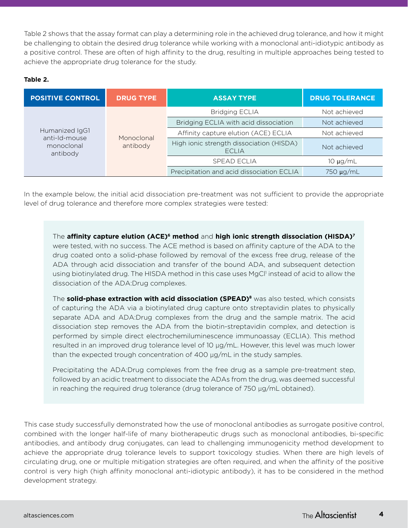Table 2 shows that the assay format can play a determining role in the achieved drug tolerance, and how it might be challenging to obtain the desired drug tolerance while working with a monoclonal anti-idiotypic antibody as a positive control. These are often of high affinity to the drug, resulting in multiple approaches being tested to achieve the appropriate drug tolerance for the study.

#### **Table 2.**

| <b>POSITIVE CONTROL</b>                                   | <b>DRUG TYPE</b>       | <b>ASSAY TYPE</b>                                        | <b>DRUG TOLERANCE</b> |
|-----------------------------------------------------------|------------------------|----------------------------------------------------------|-----------------------|
| Humanized IgG1<br>anti-Id-mouse<br>monoclonal<br>antibody | Monoclonal<br>antibody | <b>Bridging ECLIA</b>                                    | Not achieved          |
|                                                           |                        | Bridging ECLIA with acid dissociation                    | Not achieved          |
|                                                           |                        | Affinity capture elution (ACE) ECLIA                     | Not achieved          |
|                                                           |                        | High ionic strength dissociation (HISDA)<br><b>ECLIA</b> | Not achieved          |
|                                                           |                        | <b>SPEAD ECLIA</b>                                       | $10 \mu g/mL$         |
|                                                           |                        | Precipitation and acid dissociation ECLIA                | 750 µg/mL             |

In the example below, the initial acid dissociation pre-treatment was not sufficient to provide the appropriate level of drug tolerance and therefore more complex strategies were tested:

The **affinity capture elution (ACE)6 method** and **high ionic strength dissociation (HISDA)<sup>7</sup>** were tested, with no success. The ACE method is based on affinity capture of the ADA to the drug coated onto a solid-phase followed by removal of the excess free drug, release of the ADA through acid dissociation and transfer of the bound ADA, and subsequent detection using biotinylated drug. The HISDA method in this case uses MgCl<sup>1</sup> instead of acid to allow the dissociation of the ADA:Drug complexes.

The **solid-phase extraction with acid dissociation (SPEAD)<sup>8</sup>** was also tested, which consists of capturing the ADA via a biotinylated drug capture onto streptavidin plates to physically separate ADA and ADA:Drug complexes from the drug and the sample matrix. The acid dissociation step removes the ADA from the biotin-streptavidin complex, and detection is performed by simple direct electrochemiluminescence immunoassay (ECLIA). This method resulted in an improved drug tolerance level of 10 µg/mL. However, this level was much lower than the expected trough concentration of 400 µg/mL in the study samples.

Precipitating the ADA:Drug complexes from the free drug as a sample pre-treatment step, followed by an acidic treatment to dissociate the ADAs from the drug, was deemed successful in reaching the required drug tolerance (drug tolerance of 750 µg/mL obtained).

This case study successfully demonstrated how the use of monoclonal antibodies as surrogate positive control, combined with the longer half-life of many biotherapeutic drugs such as monoclonal antibodies, bi-specific antibodies, and antibody drug conjugates, can lead to challenging immunogenicity method development to achieve the appropriate drug tolerance levels to support toxicology studies. When there are high levels of circulating drug, one or multiple mitigation strategies are often required, and when the affinity of the positive control is very high (high affinity monoclonal anti-idiotypic antibody), it has to be considered in the method development strategy.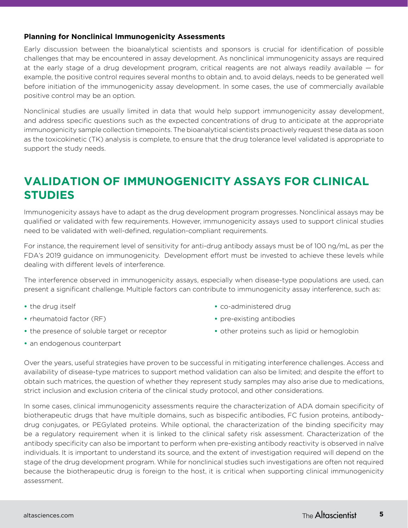#### **Planning for Nonclinical Immunogenicity Assessments**

Early discussion between the bioanalytical scientists and sponsors is crucial for identification of possible challenges that may be encountered in assay development. As nonclinical immunogenicity assays are required at the early stage of a drug development program, critical reagents are not always readily available — for example, the positive control requires several months to obtain and, to avoid delays, needs to be generated well before initiation of the immunogenicity assay development. In some cases, the use of commercially available positive control may be an option.

Nonclinical studies are usually limited in data that would help support immunogenicity assay development, and address specific questions such as the expected concentrations of drug to anticipate at the appropriate immunogenicity sample collection timepoints. The bioanalytical scientists proactively request these data as soon as the toxicokinetic (TK) analysis is complete, to ensure that the drug tolerance level validated is appropriate to support the study needs.

## **VALIDATION OF IMMUNOGENICITY ASSAYS FOR CLINICAL STUDIES**

Immunogenicity assays have to adapt as the drug development program progresses. Nonclinical assays may be qualified or validated with few requirements. However, immunogenicity assays used to support clinical studies need to be validated with well-defined, regulation-compliant requirements.

For instance, the requirement level of sensitivity for anti-drug antibody assays must be of 100 ng/mL as per the FDA's 2019 guidance on immunogenicity. Development effort must be invested to achieve these levels while dealing with different levels of interference.

The interference observed in immunogenicity assays, especially when disease-type populations are used, can present a significant challenge. Multiple factors can contribute to immunogenicity assay interference, such as:

- **•** the drug itself
- **•** rheumatoid factor (RF)
- **•** the presence of soluble target or receptor
- **•** an endogenous counterpart
- **•** co-administered drug
- **•** pre-existing antibodies
- **•** other proteins such as lipid or hemoglobin

Over the years, useful strategies have proven to be successful in mitigating interference challenges. Access and availability of disease-type matrices to support method validation can also be limited; and despite the effort to obtain such matrices, the question of whether they represent study samples may also arise due to medications, strict inclusion and exclusion criteria of the clinical study protocol, and other considerations.

In some cases, clinical immunogenicity assessments require the characterization of ADA domain specificity of biotherapeutic drugs that have multiple domains, such as bispecific antibodies, FC fusion proteins, antibodydrug conjugates, or PEGylated proteins. While optional, the characterization of the binding specificity may be a regulatory requirement when it is linked to the clinical safety risk assessment. Characterization of the antibody specificity can also be important to perform when pre-existing antibody reactivity is observed in naïve individuals. It is important to understand its source, and the extent of investigation required will depend on the stage of the drug development program. While for nonclinical studies such investigations are often not required because the biotherapeutic drug is foreign to the host, it is critical when supporting clinical immunogenicity assessment.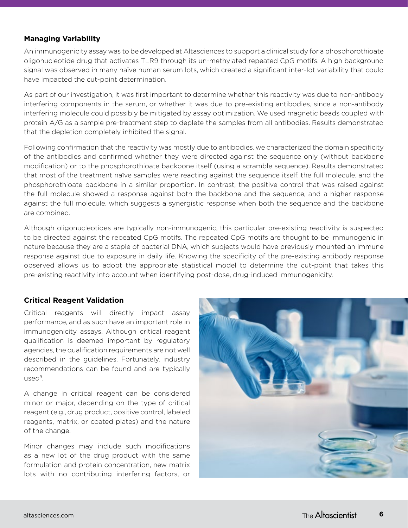#### **Managing Variability**

An immunogenicity assay was to be developed at Altasciences to support a clinical study for a phosphorothioate oligonucleotide drug that activates TLR9 through its un-methylated repeated CpG motifs. A high background signal was observed in many naïve human serum lots, which created a significant inter-lot variability that could have impacted the cut-point determination.

As part of our investigation, it was first important to determine whether this reactivity was due to non-antibody interfering components in the serum, or whether it was due to pre-existing antibodies, since a non-antibody interfering molecule could possibly be mitigated by assay optimization. We used magnetic beads coupled with protein A/G as a sample pre-treatment step to deplete the samples from all antibodies. Results demonstrated that the depletion completely inhibited the signal.

Following confirmation that the reactivity was mostly due to antibodies, we characterized the domain specificity of the antibodies and confirmed whether they were directed against the sequence only (without backbone modification) or to the phosphorothioate backbone itself (using a scramble sequence). Results demonstrated that most of the treatment naïve samples were reacting against the sequence itself, the full molecule, and the phosphorothioate backbone in a similar proportion. In contrast, the positive control that was raised against the full molecule showed a response against both the backbone and the sequence, and a higher response against the full molecule, which suggests a synergistic response when both the sequence and the backbone are combined.

Although oligonucleotides are typically non-immunogenic, this particular pre-existing reactivity is suspected to be directed against the repeated CpG motifs. The repeated CpG motifs are thought to be immunogenic in nature because they are a staple of bacterial DNA, which subjects would have previously mounted an immune response against due to exposure in daily life. Knowing the specificity of the pre-existing antibody response observed allows us to adopt the appropriate statistical model to determine the cut-point that takes this pre-existing reactivity into account when identifying post-dose, drug-induced immunogenicity.

#### **Critical Reagent Validation**

Critical reagents will directly impact assay performance, and as such have an important role in immunogenicity assays. Although critical reagent qualification is deemed important by regulatory agencies, the qualification requirements are not well described in the guidelines. Fortunately, industry recommendations can be found and are typically used<sup>9</sup>.

A change in critical reagent can be considered minor or major, depending on the type of critical reagent (e.g., drug product, positive control, labeled reagents, matrix, or coated plates) and the nature of the change.

Minor changes may include such modifications as a new lot of the drug product with the same formulation and protein concentration, new matrix lots with no contributing interfering factors, or

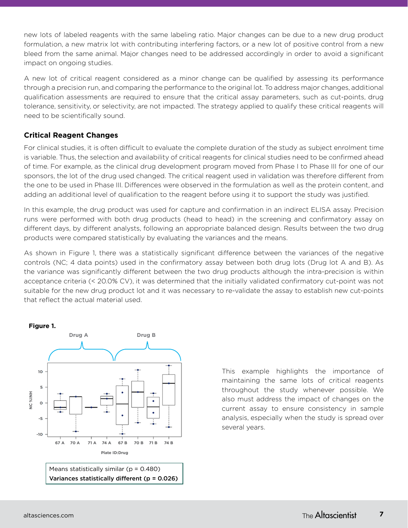new lots of labeled reagents with the same labeling ratio. Major changes can be due to a new drug product formulation, a new matrix lot with contributing interfering factors, or a new lot of positive control from a new bleed from the same animal. Major changes need to be addressed accordingly in order to avoid a significant impact on ongoing studies.

A new lot of critical reagent considered as a minor change can be qualified by assessing its performance through a precision run, and comparing the performance to the original lot. To address major changes, additional qualification assessments are required to ensure that the critical assay parameters, such as cut-points, drug tolerance, sensitivity, or selectivity, are not impacted. The strategy applied to qualify these critical reagents will need to be scientifically sound.

## **Critical Reagent Changes**

For clinical studies, it is often difficult to evaluate the complete duration of the study as subject enrolment time is variable. Thus, the selection and availability of critical reagents for clinical studies need to be confirmed ahead of time. For example, as the clinical drug development program moved from Phase I to Phase III for one of our sponsors, the lot of the drug used changed. The critical reagent used in validation was therefore different from the one to be used in Phase III. Differences were observed in the formulation as well as the protein content, and adding an additional level of qualification to the reagent before using it to support the study was justified.

In this example, the drug product was used for capture and confirmation in an indirect ELISA assay. Precision runs were performed with both drug products (head to head) in the screening and confirmatory assay on different days, by different analysts, following an appropriate balanced design. Results between the two drug products were compared statistically by evaluating the variances and the means.

As shown in Figure 1, there was a statistically significant difference between the variances of the negative controls (NC; 4 data points) used in the confirmatory assay between both drug lots (Drug lot A and B). As the variance was significantly different between the two drug products although the intra-precision is within acceptance criteria (< 20.0% CV), it was determined that the initially validated confirmatory cut-point was not suitable for the new drug product lot and it was necessary to re-validate the assay to establish new cut-points that reflect the actual material used.



This example highlights the importance of maintaining the same lots of critical reagents throughout the study whenever possible. We also must address the impact of changes on the current assay to ensure consistency in sample analysis, especially when the study is spread over several years.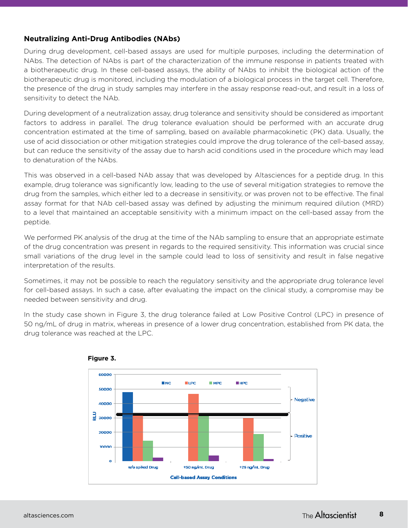## **Neutralizing Anti-Drug Antibodies (NAbs)**

During drug development, cell-based assays are used for multiple purposes, including the determination of NAbs. The detection of NAbs is part of the characterization of the immune response in patients treated with a biotherapeutic drug. In these cell-based assays, the ability of NAbs to inhibit the biological action of the biotherapeutic drug is monitored, including the modulation of a biological process in the target cell. Therefore, the presence of the drug in study samples may interfere in the assay response read-out, and result in a loss of sensitivity to detect the NAb.

During development of a neutralization assay, drug tolerance and sensitivity should be considered as important factors to address in parallel. The drug tolerance evaluation should be performed with an accurate drug concentration estimated at the time of sampling, based on available pharmacokinetic (PK) data. Usually, the use of acid dissociation or other mitigation strategies could improve the drug tolerance of the cell-based assay, but can reduce the sensitivity of the assay due to harsh acid conditions used in the procedure which may lead to denaturation of the NAbs.

This was observed in a cell-based NAb assay that was developed by Altasciences for a peptide drug. In this example, drug tolerance was significantly low, leading to the use of several mitigation strategies to remove the drug from the samples, which either led to a decrease in sensitivity, or was proven not to be effective. The final assay format for that NAb cell-based assay was defined by adjusting the minimum required dilution (MRD) to a level that maintained an acceptable sensitivity with a minimum impact on the cell-based assay from the peptide.

We performed PK analysis of the drug at the time of the NAb sampling to ensure that an appropriate estimate of the drug concentration was present in regards to the required sensitivity. This information was crucial since small variations of the drug level in the sample could lead to loss of sensitivity and result in false negative interpretation of the results.

Sometimes, it may not be possible to reach the regulatory sensitivity and the appropriate drug tolerance level for cell-based assays. In such a case, after evaluating the impact on the clinical study, a compromise may be needed between sensitivity and drug.

In the study case shown in Figure 3, the drug tolerance failed at Low Positive Control (LPC) in presence of 50 ng/mL of drug in matrix, whereas in presence of a lower drug concentration, established from PK data, the drug tolerance was reached at the LPC.